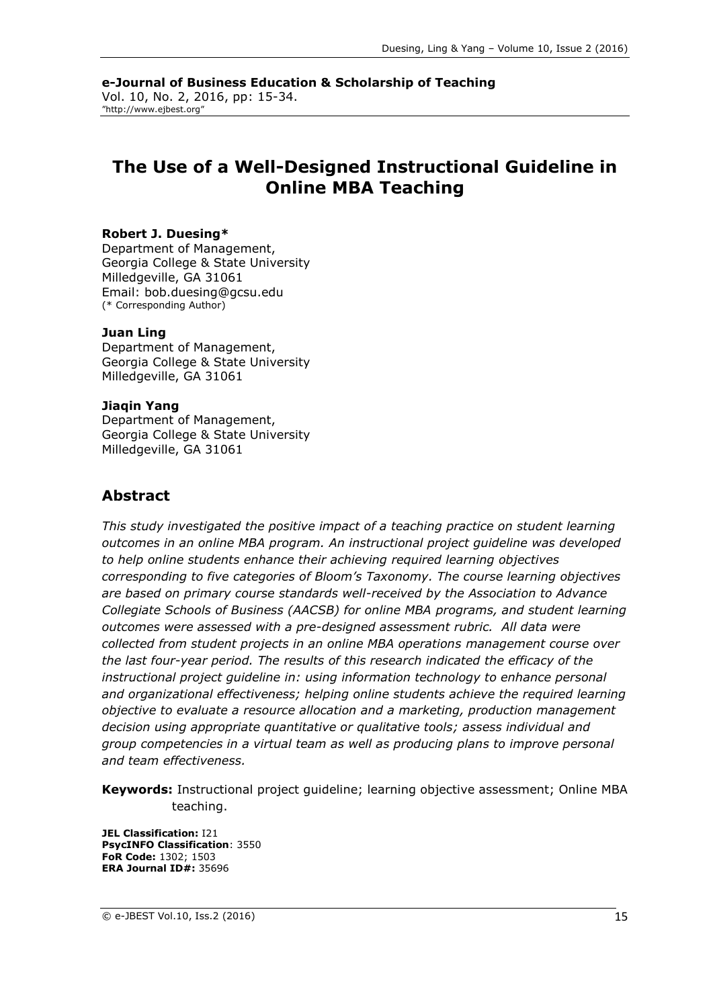**e-Journal of Business Education & Scholarship of Teaching** Vol. 10, No. 2, 2016, pp: 15-34. "http://www.ejbest.org"

## **The Use of a Well-Designed Instructional Guideline in Online MBA Teaching**

#### **Robert J. Duesing\***

Department of Management, Georgia College & State University Milledgeville, GA 31061 Email: bob.duesing@gcsu.edu (\* Corresponding Author)

#### **Juan Ling**

Department of Management, Georgia College & State University Milledgeville, GA 31061

#### **Jiaqin Yang**

Department of Management, Georgia College & State University Milledgeville, GA 31061

#### **Abstract**

*This study investigated the positive impact of a teaching practice on student learning outcomes in an online MBA program. An instructional project guideline was developed to help online students enhance their achieving required learning objectives corresponding to five categories of Bloom's Taxonomy. The course learning objectives are based on primary course standards well-received by the Association to Advance Collegiate Schools of Business (AACSB) for online MBA programs, and student learning outcomes were assessed with a pre-designed assessment rubric. All data were collected from student projects in an online MBA operations management course over the last four-year period. The results of this research indicated the efficacy of the instructional project guideline in: using information technology to enhance personal and organizational effectiveness; helping online students achieve the required learning objective to evaluate a resource allocation and a marketing, production management decision using appropriate quantitative or qualitative tools; assess individual and group competencies in a virtual team as well as producing plans to improve personal and team effectiveness.* 

**Keywords:** Instructional project guideline; learning objective assessment; Online MBA teaching.

**JEL Classification:** I21 **PsycINFO Classification**: 3550 **FoR Code:** 1302; 1503 **ERA Journal ID#:** 35696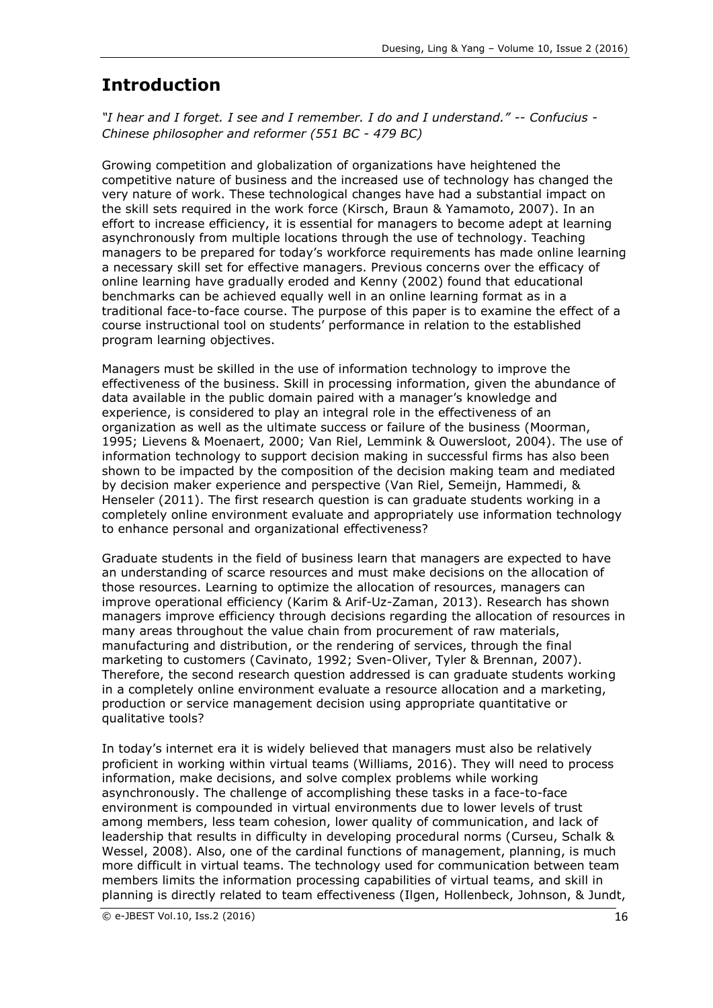# **Introduction**

*"I hear and I forget. I see and I remember. I do and I understand." -- Confucius - Chinese philosopher and reformer (551 BC - 479 BC)*

Growing competition and globalization of organizations have heightened the competitive nature of business and the increased use of technology has changed the very nature of work. These technological changes have had a substantial impact on the skill sets required in the work force (Kirsch, Braun & Yamamoto, 2007). In an effort to increase efficiency, it is essential for managers to become adept at learning asynchronously from multiple locations through the use of technology. Teaching managers to be prepared for today's workforce requirements has made online learning a necessary skill set for effective managers. Previous concerns over the efficacy of online learning have gradually eroded and Kenny (2002) found that educational benchmarks can be achieved equally well in an online learning format as in a traditional face-to-face course. The purpose of this paper is to examine the effect of a course instructional tool on students' performance in relation to the established program learning objectives.

Managers must be skilled in the use of information technology to improve the effectiveness of the business. Skill in processing information, given the abundance of data available in the public domain paired with a manager's knowledge and experience, is considered to play an integral role in the effectiveness of an organization as well as the ultimate success or failure of the business (Moorman, 1995; Lievens & Moenaert, 2000; Van Riel, Lemmink & Ouwersloot, 2004). The use of information technology to support decision making in successful firms has also been shown to be impacted by the composition of the decision making team and mediated by decision maker experience and perspective (Van Riel, Semeijn, Hammedi, & Henseler (2011). The first research question is can graduate students working in a completely online environment evaluate and appropriately use information technology to enhance personal and organizational effectiveness?

Graduate students in the field of business learn that managers are expected to have an understanding of scarce resources and must make decisions on the allocation of those resources. Learning to optimize the allocation of resources, managers can improve operational efficiency (Karim & Arif-Uz-Zaman, 2013). Research has shown managers improve efficiency through decisions regarding the allocation of resources in many areas throughout the value chain from procurement of raw materials, manufacturing and distribution, or the rendering of services, through the final marketing to customers (Cavinato, 1992; Sven-Oliver, Tyler & Brennan, 2007). Therefore, the second research question addressed is can graduate students working in a completely online environment evaluate a resource allocation and a marketing, production or service management decision using appropriate quantitative or qualitative tools?

In today's internet era it is widely believed that managers must also be relatively proficient in working within virtual teams (Williams, 2016). They will need to process information, make decisions, and solve complex problems while working asynchronously. The challenge of accomplishing these tasks in a face-to-face environment is compounded in virtual environments due to lower levels of trust among members, less team cohesion, lower quality of communication, and lack of leadership that results in difficulty in developing procedural norms (Curseu, Schalk & Wessel, 2008). Also, one of the cardinal functions of management, planning, is much more difficult in virtual teams. The technology used for communication between team members limits the information processing capabilities of virtual teams, and skill in planning is directly related to team effectiveness (Ilgen, Hollenbeck, Johnson, & Jundt,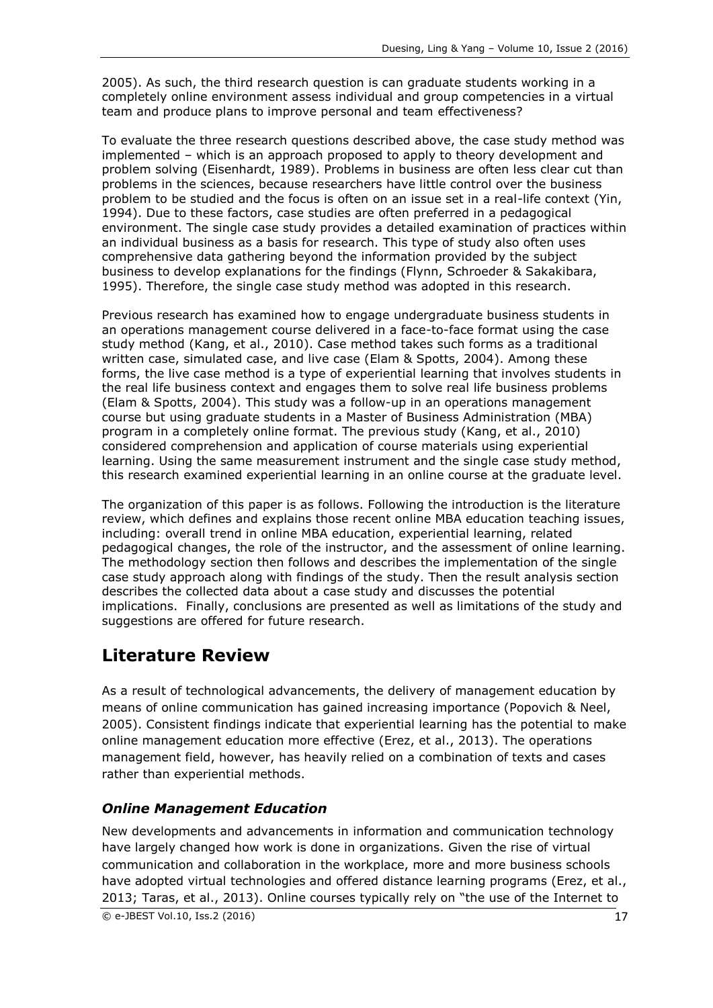2005). As such, the third research question is can graduate students working in a completely online environment assess individual and group competencies in a virtual team and produce plans to improve personal and team effectiveness?

To evaluate the three research questions described above, the case study method was implemented – which is an approach proposed to apply to theory development and problem solving (Eisenhardt, 1989). Problems in business are often less clear cut than problems in the sciences, because researchers have little control over the business problem to be studied and the focus is often on an issue set in a real-life context (Yin, 1994). Due to these factors, case studies are often preferred in a pedagogical environment. The single case study provides a detailed examination of practices within an individual business as a basis for research. This type of study also often uses comprehensive data gathering beyond the information provided by the subject business to develop explanations for the findings (Flynn, Schroeder & Sakakibara, 1995). Therefore, the single case study method was adopted in this research.

Previous research has examined how to engage undergraduate business students in an operations management course delivered in a face-to-face format using the case study method (Kang, et al., 2010). Case method takes such forms as a traditional written case, simulated case, and live case (Elam & Spotts, 2004). Among these forms, the live case method is a type of experiential learning that involves students in the real life business context and engages them to solve real life business problems (Elam & Spotts, 2004). This study was a follow-up in an operations management course but using graduate students in a Master of Business Administration (MBA) program in a completely online format. The previous study (Kang, et al., 2010) considered comprehension and application of course materials using experiential learning. Using the same measurement instrument and the single case study method, this research examined experiential learning in an online course at the graduate level.

The organization of this paper is as follows. Following the introduction is the literature review, which defines and explains those recent online MBA education teaching issues, including: overall trend in online MBA education, experiential learning, related pedagogical changes, the role of the instructor, and the assessment of online learning. The methodology section then follows and describes the implementation of the single case study approach along with findings of the study. Then the result analysis section describes the collected data about a case study and discusses the potential implications. Finally, conclusions are presented as well as limitations of the study and suggestions are offered for future research.

# **Literature Review**

As a result of technological advancements, the delivery of management education by means of online communication has gained increasing importance (Popovich & Neel, 2005). Consistent findings indicate that experiential learning has the potential to make online management education more effective (Erez, et al., 2013). The operations management field, however, has heavily relied on a combination of texts and cases rather than experiential methods.

### *Online Management Education*

New developments and advancements in information and communication technology have largely changed how work is done in organizations. Given the rise of virtual communication and collaboration in the workplace, more and more business schools have adopted virtual technologies and offered distance learning programs (Erez, et al., 2013; Taras, et al., 2013). Online courses typically rely on "the use of the Internet to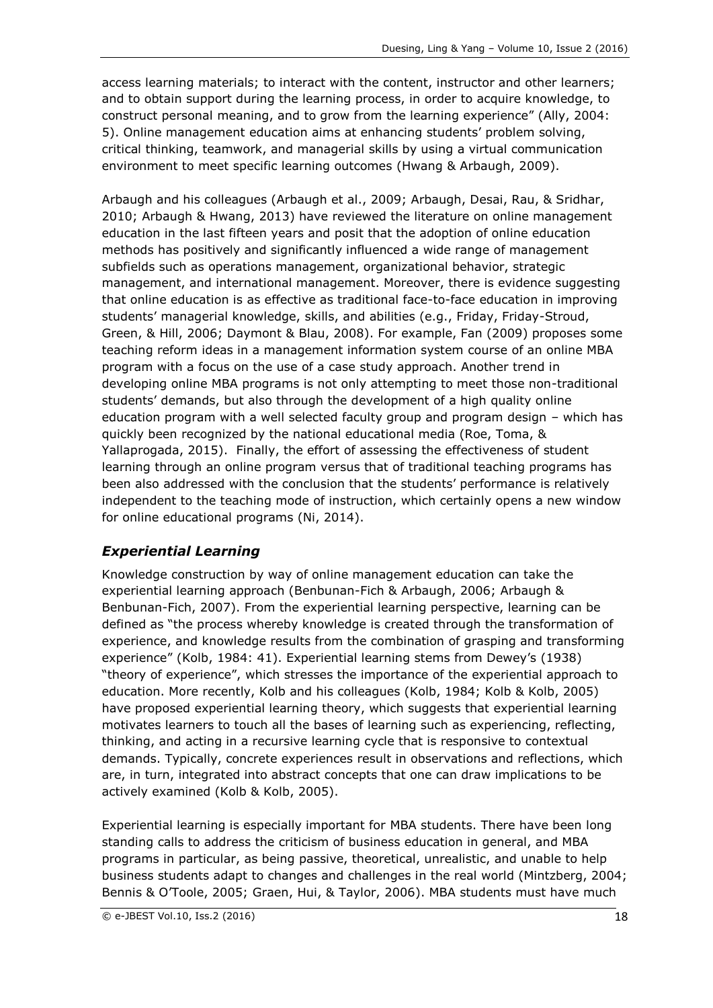access learning materials; to interact with the content, instructor and other learners; and to obtain support during the learning process, in order to acquire knowledge, to construct personal meaning, and to grow from the learning experience" (Ally, 2004: 5). Online management education aims at enhancing students' problem solving, critical thinking, teamwork, and managerial skills by using a virtual communication environment to meet specific learning outcomes (Hwang & Arbaugh, 2009).

Arbaugh and his colleagues (Arbaugh et al., 2009; Arbaugh, Desai, Rau, & Sridhar, 2010; Arbaugh & Hwang, 2013) have reviewed the literature on online management education in the last fifteen years and posit that the adoption of online education methods has positively and significantly influenced a wide range of management subfields such as operations management, organizational behavior, strategic management, and international management. Moreover, there is evidence suggesting that online education is as effective as traditional face-to-face education in improving students' managerial knowledge, skills, and abilities (e.g., Friday, Friday-Stroud, Green, & Hill, 2006; Daymont & Blau, 2008). For example, Fan (2009) proposes some teaching reform ideas in a management information system course of an online MBA program with a focus on the use of a case study approach. Another trend in developing online MBA programs is not only attempting to meet those non-traditional students' demands, but also through the development of a high quality online education program with a well selected faculty group and program design – which has quickly been recognized by the national educational media (Roe, Toma, & Yallaprogada, 2015). Finally, the effort of assessing the effectiveness of student learning through an online program versus that of traditional teaching programs has been also addressed with the conclusion that the students' performance is relatively independent to the teaching mode of instruction, which certainly opens a new window for online educational programs (Ni, 2014).

### *Experiential Learning*

Knowledge construction by way of online management education can take the experiential learning approach (Benbunan-Fich & Arbaugh, 2006; Arbaugh & Benbunan-Fich, 2007). From the experiential learning perspective, learning can be defined as "the process whereby knowledge is created through the transformation of experience, and knowledge results from the combination of grasping and transforming experience" (Kolb, 1984: 41). Experiential learning stems from Dewey's (1938) "theory of experience", which stresses the importance of the experiential approach to education. More recently, Kolb and his colleagues (Kolb, 1984; Kolb & Kolb, 2005) have proposed experiential learning theory, which suggests that experiential learning motivates learners to touch all the bases of learning such as experiencing, reflecting, thinking, and acting in a recursive learning cycle that is responsive to contextual demands. Typically, concrete experiences result in observations and reflections, which are, in turn, integrated into abstract concepts that one can draw implications to be actively examined (Kolb & Kolb, 2005).

Experiential learning is especially important for MBA students. There have been long standing calls to address the criticism of business education in general, and MBA programs in particular, as being passive, theoretical, unrealistic, and unable to help business students adapt to changes and challenges in the real world (Mintzberg, 2004; Bennis & O'Toole, 2005; Graen, Hui, & Taylor, 2006). MBA students must have much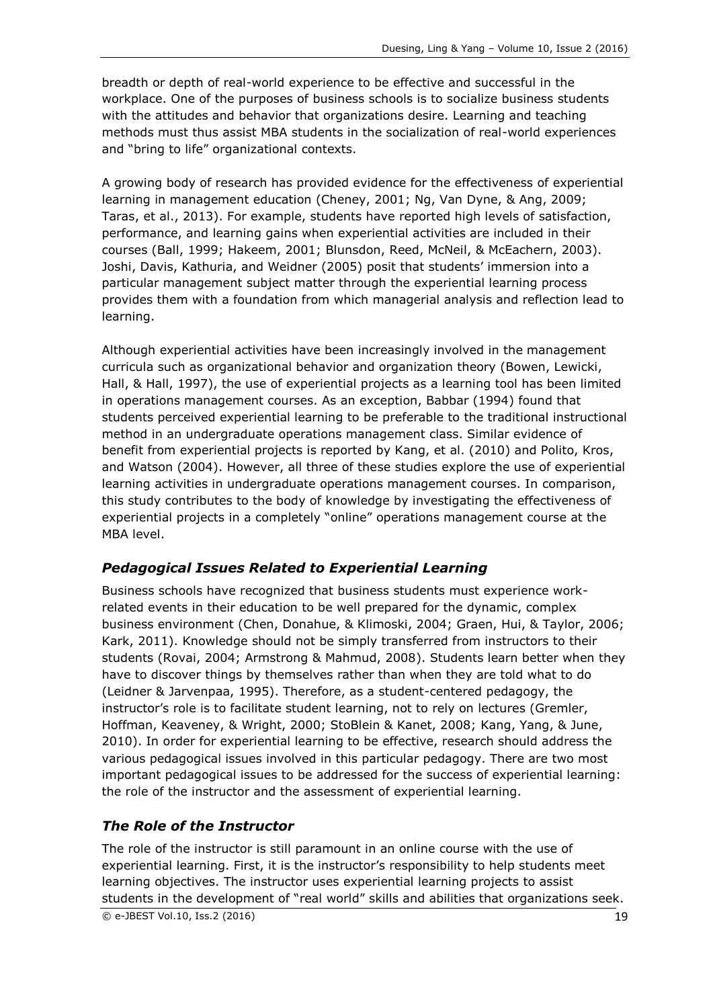breadth or depth of real-world experience to be effective and successful in the workplace. One of the purposes of business schools is to socialize business students with the attitudes and behavior that organizations desire. Learning and teaching methods must thus assist MBA students in the socialization of real-world experiences and "bring to life" organizational contexts.

A growing body of research has provided evidence for the effectiveness of experiential learning in management education (Cheney, 2001; Ng, Van Dyne, & Ang, 2009; Taras, et al., 2013). For example, students have reported high levels of satisfaction, performance, and learning gains when experiential activities are included in their courses (Ball, 1999; Hakeem, 2001; Blunsdon, Reed, McNeil, & McEachern, 2003). Joshi, Davis, Kathuria, and Weidner (2005) posit that students' immersion into a particular management subject matter through the experiential learning process provides them with a foundation from which managerial analysis and reflection lead to learning.

Although experiential activities have been increasingly involved in the management curricula such as organizational behavior and organization theory (Bowen, Lewicki, Hall, & Hall, 1997), the use of experiential projects as a learning tool has been limited in operations management courses. As an exception, Babbar (1994) found that students perceived experiential learning to be preferable to the traditional instructional method in an undergraduate operations management class. Similar evidence of benefit from experiential projects is reported by Kang, et al. (2010) and Polito, Kros, and Watson (2004). However, all three of these studies explore the use of experiential learning activities in undergraduate operations management courses. In comparison, this study contributes to the body of knowledge by investigating the effectiveness of experiential projects in a completely "online" operations management course at the MBA level.

#### *Pedagogical Issues Related to Experiential Learning*

Business schools have recognized that business students must experience workrelated events in their education to be well prepared for the dynamic, complex business environment (Chen, Donahue, & Klimoski, 2004; Graen, Hui, & Taylor, 2006; Kark, 2011). Knowledge should not be simply transferred from instructors to their students (Rovai, 2004; Armstrong & Mahmud, 2008). Students learn better when they have to discover things by themselves rather than when they are told what to do (Leidner & Jarvenpaa, 1995). Therefore, as a student-centered pedagogy, the instructor's role is to facilitate student learning, not to rely on lectures (Gremler, Hoffman, Keaveney, & Wright, 2000; StoBlein & Kanet, 2008; Kang, Yang, & June, 2010). In order for experiential learning to be effective, research should address the various pedagogical issues involved in this particular pedagogy. There are two most important pedagogical issues to be addressed for the success of experiential learning: the role of the instructor and the assessment of experiential learning.

### *The Role of the Instructor*

The role of the instructor is still paramount in an online course with the use of experiential learning. First, it is the instructor's responsibility to help students meet learning objectives. The instructor uses experiential learning projects to assist students in the development of "real world" skills and abilities that organizations seek.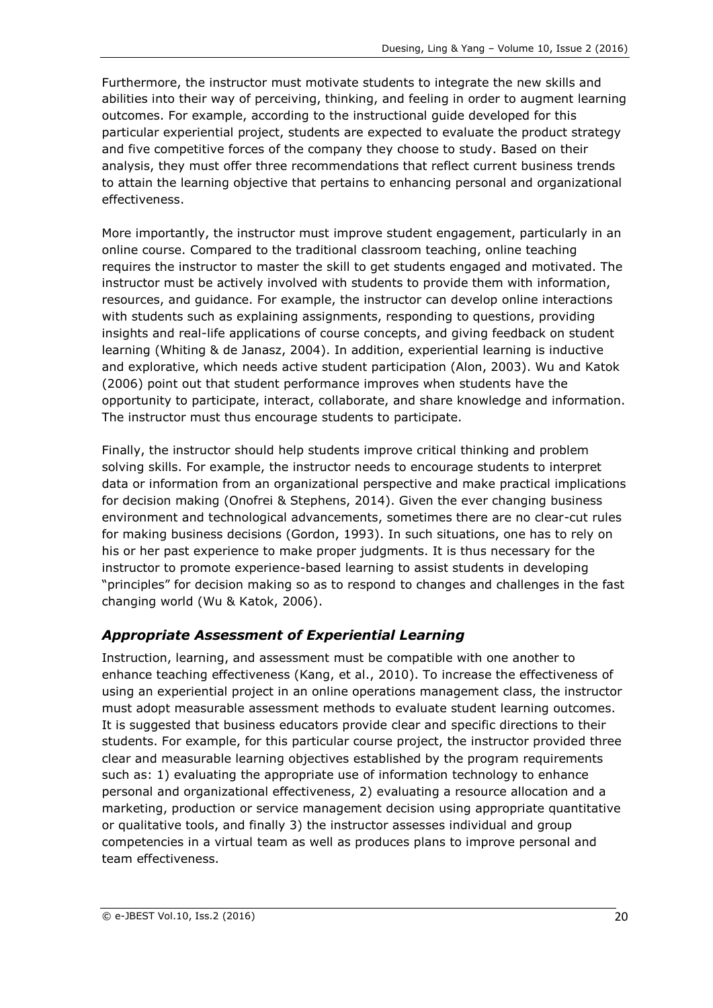Furthermore, the instructor must motivate students to integrate the new skills and abilities into their way of perceiving, thinking, and feeling in order to augment learning outcomes. For example, according to the instructional guide developed for this particular experiential project, students are expected to evaluate the product strategy and five competitive forces of the company they choose to study. Based on their analysis, they must offer three recommendations that reflect current business trends to attain the learning objective that pertains to enhancing personal and organizational effectiveness.

More importantly, the instructor must improve student engagement, particularly in an online course. Compared to the traditional classroom teaching, online teaching requires the instructor to master the skill to get students engaged and motivated. The instructor must be actively involved with students to provide them with information, resources, and guidance. For example, the instructor can develop online interactions with students such as explaining assignments, responding to questions, providing insights and real-life applications of course concepts, and giving feedback on student learning (Whiting & de Janasz, 2004). In addition, experiential learning is inductive and explorative, which needs active student participation (Alon, 2003). Wu and Katok (2006) point out that student performance improves when students have the opportunity to participate, interact, collaborate, and share knowledge and information. The instructor must thus encourage students to participate.

Finally, the instructor should help students improve critical thinking and problem solving skills. For example, the instructor needs to encourage students to interpret data or information from an organizational perspective and make practical implications for decision making (Onofrei & Stephens, 2014). Given the ever changing business environment and technological advancements, sometimes there are no clear-cut rules for making business decisions (Gordon, 1993). In such situations, one has to rely on his or her past experience to make proper judgments. It is thus necessary for the instructor to promote experience-based learning to assist students in developing "principles" for decision making so as to respond to changes and challenges in the fast changing world (Wu & Katok, 2006).

## *Appropriate Assessment of Experiential Learning*

Instruction, learning, and assessment must be compatible with one another to enhance teaching effectiveness (Kang, et al., 2010). To increase the effectiveness of using an experiential project in an online operations management class, the instructor must adopt measurable assessment methods to evaluate student learning outcomes. It is suggested that business educators provide clear and specific directions to their students. For example, for this particular course project, the instructor provided three clear and measurable learning objectives established by the program requirements such as: 1) evaluating the appropriate use of information technology to enhance personal and organizational effectiveness, 2) evaluating a resource allocation and a marketing, production or service management decision using appropriate quantitative or qualitative tools, and finally 3) the instructor assesses individual and group competencies in a virtual team as well as produces plans to improve personal and team effectiveness.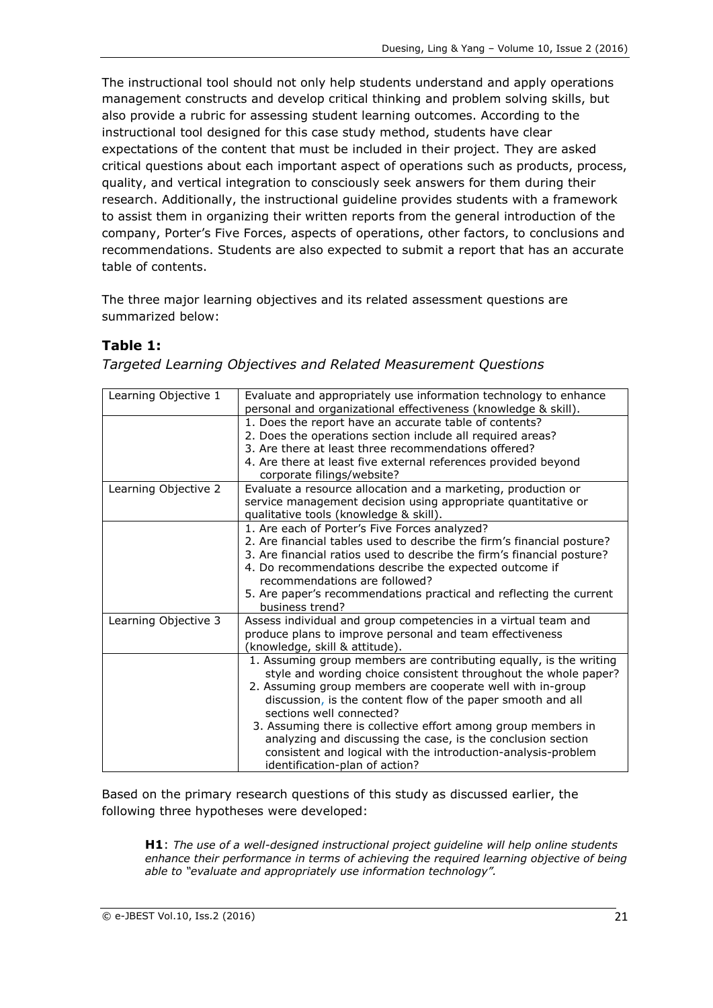The instructional tool should not only help students understand and apply operations management constructs and develop critical thinking and problem solving skills, but also provide a rubric for assessing student learning outcomes. According to the instructional tool designed for this case study method, students have clear expectations of the content that must be included in their project. They are asked critical questions about each important aspect of operations such as products, process, quality, and vertical integration to consciously seek answers for them during their research. Additionally, the instructional guideline provides students with a framework to assist them in organizing their written reports from the general introduction of the company, Porter's Five Forces, aspects of operations, other factors, to conclusions and recommendations. Students are also expected to submit a report that has an accurate table of contents.

The three major learning objectives and its related assessment questions are summarized below:

### **Table 1:**

*Targeted Learning Objectives and Related Measurement Questions*

| Evaluate and appropriately use information technology to enhance<br>personal and organizational effectiveness (knowledge & skill).    |
|---------------------------------------------------------------------------------------------------------------------------------------|
| 1. Does the report have an accurate table of contents?                                                                                |
| 2. Does the operations section include all required areas?                                                                            |
| 3. Are there at least three recommendations offered?                                                                                  |
| 4. Are there at least five external references provided beyond                                                                        |
| corporate filings/website?                                                                                                            |
| Evaluate a resource allocation and a marketing, production or                                                                         |
| service management decision using appropriate quantitative or                                                                         |
| qualitative tools (knowledge & skill).                                                                                                |
| 1. Are each of Porter's Five Forces analyzed?                                                                                         |
| 2. Are financial tables used to describe the firm's financial posture?                                                                |
| 3. Are financial ratios used to describe the firm's financial posture?                                                                |
| 4. Do recommendations describe the expected outcome if                                                                                |
| recommendations are followed?                                                                                                         |
| 5. Are paper's recommendations practical and reflecting the current                                                                   |
| business trend?                                                                                                                       |
| Assess individual and group competencies in a virtual team and                                                                        |
| produce plans to improve personal and team effectiveness                                                                              |
| (knowledge, skill & attitude).                                                                                                        |
| 1. Assuming group members are contributing equally, is the writing<br>style and wording choice consistent throughout the whole paper? |
| 2. Assuming group members are cooperate well with in-group                                                                            |
| discussion, is the content flow of the paper smooth and all                                                                           |
| sections well connected?                                                                                                              |
| 3. Assuming there is collective effort among group members in                                                                         |
| analyzing and discussing the case, is the conclusion section                                                                          |
| consistent and logical with the introduction-analysis-problem                                                                         |
| identification-plan of action?                                                                                                        |
|                                                                                                                                       |

Based on the primary research questions of this study as discussed earlier, the following three hypotheses were developed:

**H1**: *The use of a well-designed instructional project guideline will help online students enhance their performance in terms of achieving the required learning objective of being able to "evaluate and appropriately use information technology".*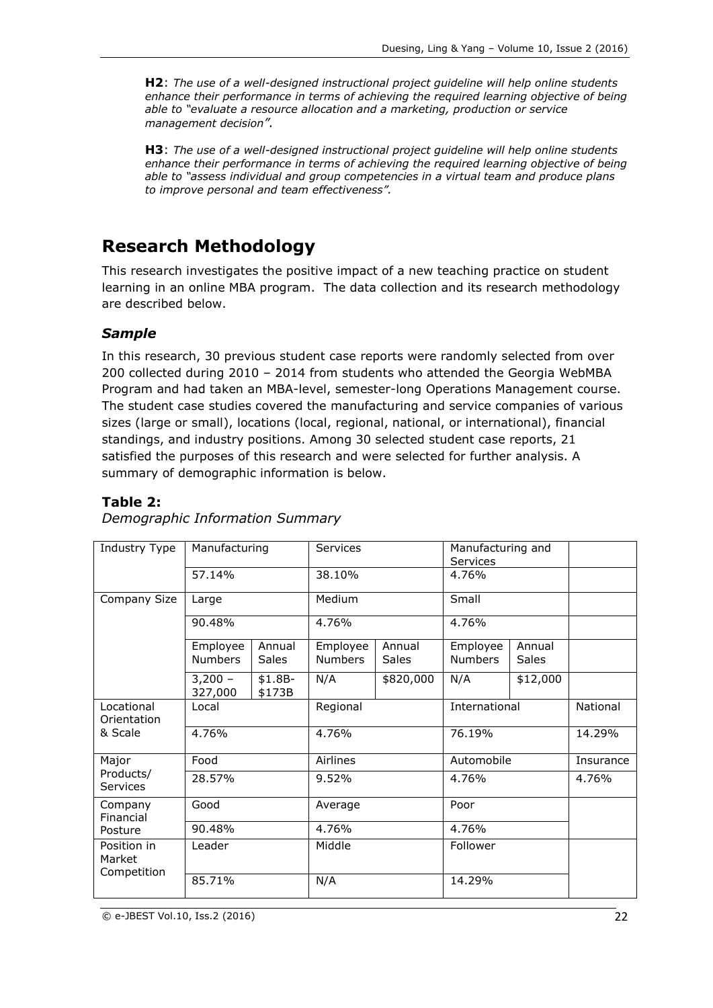**H2**: *The use of a well-designed instructional project guideline will help online students enhance their performance in terms of achieving the required learning objective of being able to "evaluate a resource allocation and a marketing, production or service management decision".*

**H3**: *The use of a well-designed instructional project guideline will help online students enhance their performance in terms of achieving the required learning objective of being able to "assess individual and group competencies in a virtual team and produce plans to improve personal and team effectiveness".*

## **Research Methodology**

This research investigates the positive impact of a new teaching practice on student learning in an online MBA program. The data collection and its research methodology are described below.

### *Sample*

In this research, 30 previous student case reports were randomly selected from over 200 collected during 2010 – 2014 from students who attended the Georgia WebMBA Program and had taken an MBA-level, semester-long Operations Management course. The student case studies covered the manufacturing and service companies of various sizes (large or small), locations (local, regional, national, or international), financial standings, and industry positions. Among 30 selected student case reports, 21 satisfied the purposes of this research and were selected for further analysis. A summary of demographic information is below.

#### **Table 2:**

| Industry Type<br>Manufacturing<br>57.14% |                      |                    | Services       |              | Manufacturing and<br>Services |              |           |
|------------------------------------------|----------------------|--------------------|----------------|--------------|-------------------------------|--------------|-----------|
|                                          |                      |                    | 38.10%         |              | 4.76%                         |              |           |
| Company Size                             | Large                |                    | Medium         |              | Small                         |              |           |
|                                          | 90.48%               |                    | 4.76%          |              | 4.76%                         |              |           |
|                                          | Employee             | Annual             | Employee       | Annual       | Employee                      | Annual       |           |
|                                          | <b>Numbers</b>       | Sales              | <b>Numbers</b> | <b>Sales</b> | <b>Numbers</b>                | <b>Sales</b> |           |
|                                          | $3,200 -$<br>327,000 | $$1.8B-$<br>\$173B | N/A            | \$820,000    | N/A                           | \$12,000     |           |
| Locational<br>Orientation                | Local                |                    | Regional       |              | International                 |              | National  |
| & Scale                                  | 4.76%                |                    | 4.76%          |              | 76.19%                        |              | 14.29%    |
| Major                                    | Food                 |                    | Airlines       |              | Automobile                    |              | Insurance |
| Products/<br><b>Services</b>             | 28.57%               |                    | 9.52%          |              | 4.76%                         |              | 4.76%     |
| Company<br>Financial                     | Good                 |                    | Average        |              | Poor                          |              |           |
| Posture                                  | 90.48%               |                    | 4.76%          |              | 4.76%                         |              |           |
| Position in<br>Market<br>Competition     | Leader               |                    | Middle         |              | Follower                      |              |           |
|                                          | 85.71%               |                    | N/A            |              | 14.29%                        |              |           |

#### *Demographic Information Summary*

© e-JBEST Vol.10, Iss.2 (2016) 22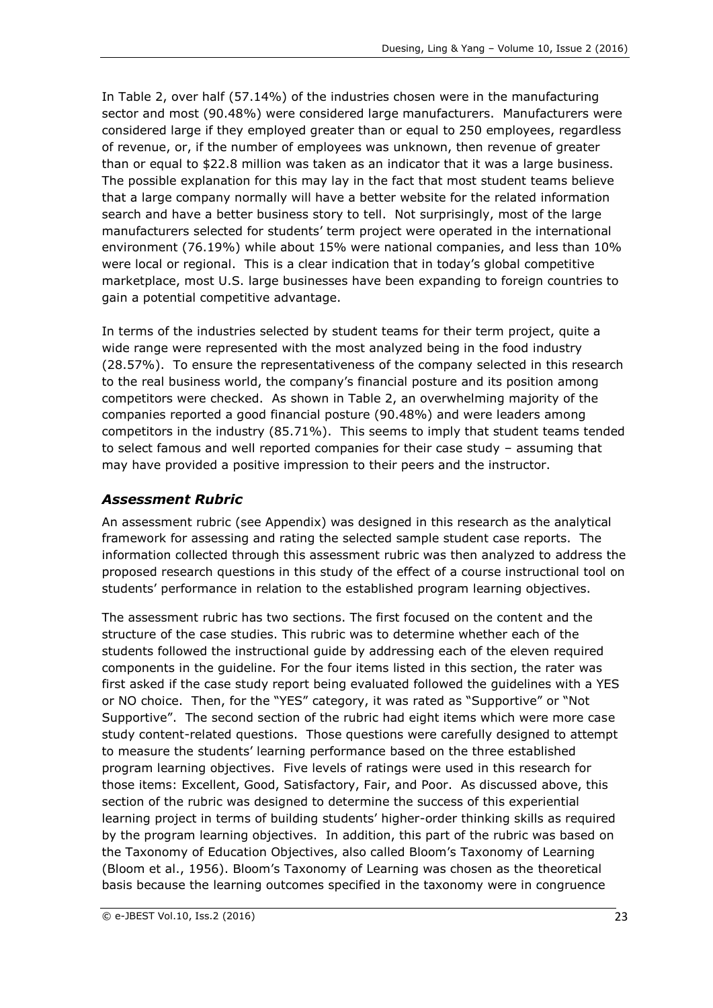In Table 2, over half (57.14%) of the industries chosen were in the manufacturing sector and most (90.48%) were considered large manufacturers. Manufacturers were considered large if they employed greater than or equal to 250 employees, regardless of revenue, or, if the number of employees was unknown, then revenue of greater than or equal to \$22.8 million was taken as an indicator that it was a large business. The possible explanation for this may lay in the fact that most student teams believe that a large company normally will have a better website for the related information search and have a better business story to tell. Not surprisingly, most of the large manufacturers selected for students' term project were operated in the international environment (76.19%) while about 15% were national companies, and less than 10% were local or regional. This is a clear indication that in today's global competitive marketplace, most U.S. large businesses have been expanding to foreign countries to gain a potential competitive advantage.

In terms of the industries selected by student teams for their term project, quite a wide range were represented with the most analyzed being in the food industry (28.57%). To ensure the representativeness of the company selected in this research to the real business world, the company's financial posture and its position among competitors were checked. As shown in Table 2, an overwhelming majority of the companies reported a good financial posture (90.48%) and were leaders among competitors in the industry (85.71%). This seems to imply that student teams tended to select famous and well reported companies for their case study – assuming that may have provided a positive impression to their peers and the instructor.

#### *Assessment Rubric*

An assessment rubric (see Appendix) was designed in this research as the analytical framework for assessing and rating the selected sample student case reports. The information collected through this assessment rubric was then analyzed to address the proposed research questions in this study of the effect of a course instructional tool on students' performance in relation to the established program learning objectives.

The assessment rubric has two sections. The first focused on the content and the structure of the case studies. This rubric was to determine whether each of the students followed the instructional guide by addressing each of the eleven required components in the guideline. For the four items listed in this section, the rater was first asked if the case study report being evaluated followed the guidelines with a YES or NO choice. Then, for the "YES" category, it was rated as "Supportive" or "Not Supportive". The second section of the rubric had eight items which were more case study content-related questions. Those questions were carefully designed to attempt to measure the students' learning performance based on the three established program learning objectives. Five levels of ratings were used in this research for those items: Excellent, Good, Satisfactory, Fair, and Poor. As discussed above, this section of the rubric was designed to determine the success of this experiential learning project in terms of building students' higher-order thinking skills as required by the program learning objectives. In addition, this part of the rubric was based on the Taxonomy of Education Objectives, also called Bloom's Taxonomy of Learning (Bloom et al., 1956). Bloom's Taxonomy of Learning was chosen as the theoretical basis because the learning outcomes specified in the taxonomy were in congruence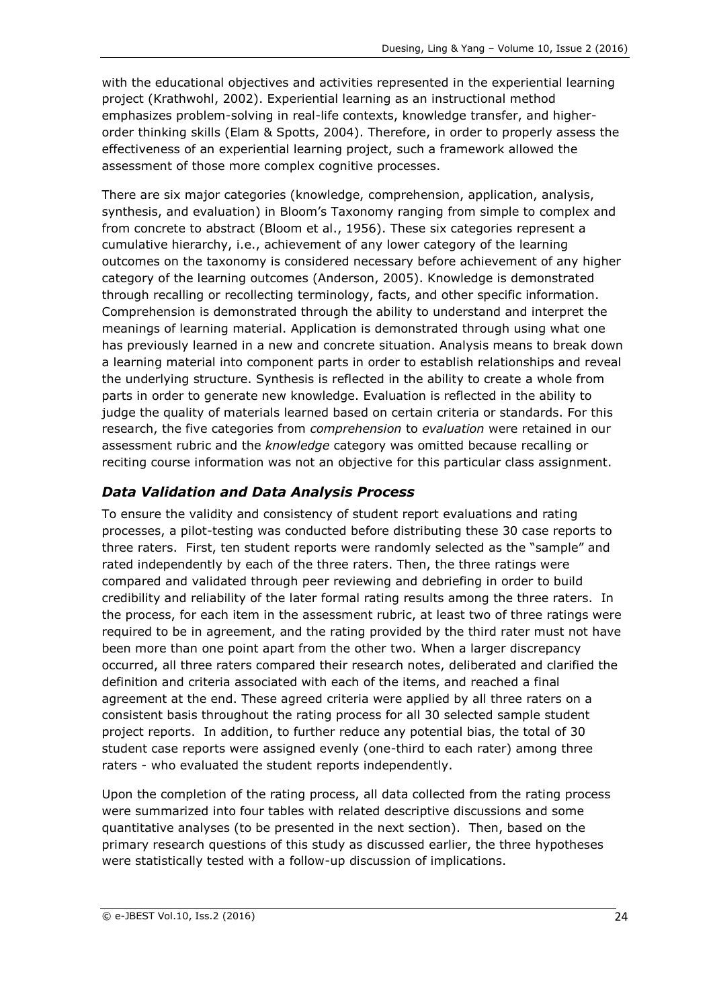with the educational objectives and activities represented in the experiential learning project (Krathwohl, 2002). Experiential learning as an instructional method emphasizes problem-solving in real-life contexts, knowledge transfer, and higherorder thinking skills (Elam & Spotts, 2004). Therefore, in order to properly assess the effectiveness of an experiential learning project, such a framework allowed the assessment of those more complex cognitive processes.

There are six major categories (knowledge, comprehension, application, analysis, synthesis, and evaluation) in Bloom's Taxonomy ranging from simple to complex and from concrete to abstract (Bloom et al., 1956). These six categories represent a cumulative hierarchy, i.e., achievement of any lower category of the learning outcomes on the taxonomy is considered necessary before achievement of any higher category of the learning outcomes (Anderson, 2005). Knowledge is demonstrated through recalling or recollecting terminology, facts, and other specific information. Comprehension is demonstrated through the ability to understand and interpret the meanings of learning material. Application is demonstrated through using what one has previously learned in a new and concrete situation. Analysis means to break down a learning material into component parts in order to establish relationships and reveal the underlying structure. Synthesis is reflected in the ability to create a whole from parts in order to generate new knowledge. Evaluation is reflected in the ability to judge the quality of materials learned based on certain criteria or standards. For this research, the five categories from *comprehension* to *evaluation* were retained in our assessment rubric and the *knowledge* category was omitted because recalling or reciting course information was not an objective for this particular class assignment.

### *Data Validation and Data Analysis Process*

To ensure the validity and consistency of student report evaluations and rating processes, a pilot-testing was conducted before distributing these 30 case reports to three raters. First, ten student reports were randomly selected as the "sample" and rated independently by each of the three raters. Then, the three ratings were compared and validated through peer reviewing and debriefing in order to build credibility and reliability of the later formal rating results among the three raters. In the process, for each item in the assessment rubric, at least two of three ratings were required to be in agreement, and the rating provided by the third rater must not have been more than one point apart from the other two. When a larger discrepancy occurred, all three raters compared their research notes, deliberated and clarified the definition and criteria associated with each of the items, and reached a final agreement at the end. These agreed criteria were applied by all three raters on a consistent basis throughout the rating process for all 30 selected sample student project reports. In addition, to further reduce any potential bias, the total of 30 student case reports were assigned evenly (one-third to each rater) among three raters - who evaluated the student reports independently.

Upon the completion of the rating process, all data collected from the rating process were summarized into four tables with related descriptive discussions and some quantitative analyses (to be presented in the next section). Then, based on the primary research questions of this study as discussed earlier, the three hypotheses were statistically tested with a follow-up discussion of implications.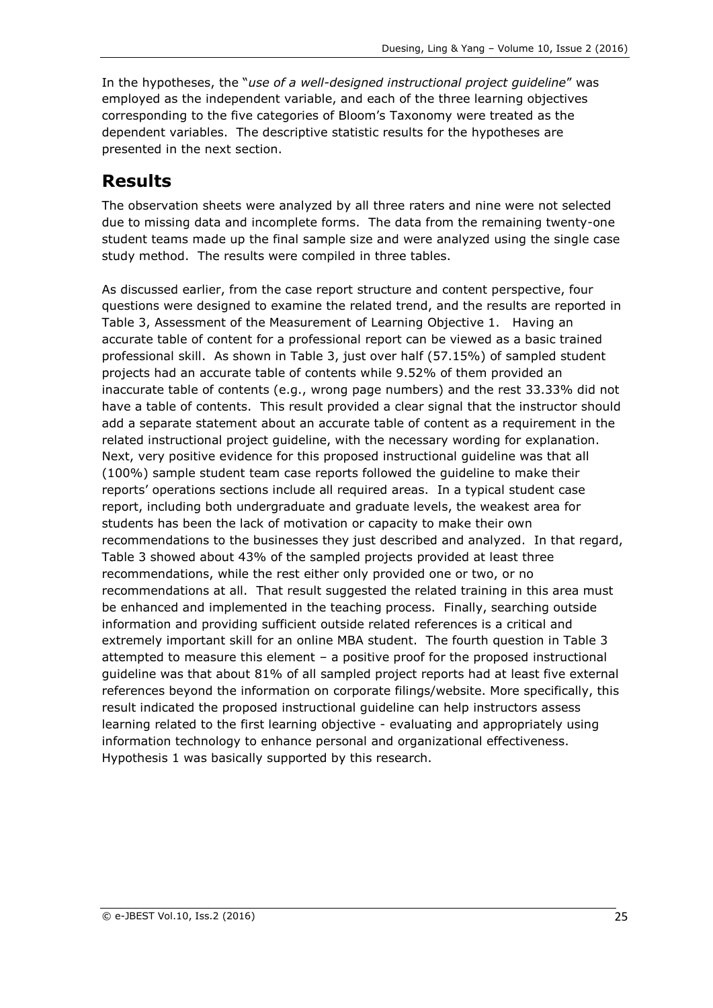In the hypotheses, the "*use of a well-designed instructional project guideline*" was employed as the independent variable, and each of the three learning objectives corresponding to the five categories of Bloom's Taxonomy were treated as the dependent variables. The descriptive statistic results for the hypotheses are presented in the next section.

# **Results**

The observation sheets were analyzed by all three raters and nine were not selected due to missing data and incomplete forms. The data from the remaining twenty-one student teams made up the final sample size and were analyzed using the single case study method. The results were compiled in three tables.

As discussed earlier, from the case report structure and content perspective, four questions were designed to examine the related trend, and the results are reported in Table 3, Assessment of the Measurement of Learning Objective 1. Having an accurate table of content for a professional report can be viewed as a basic trained professional skill. As shown in Table 3, just over half (57.15%) of sampled student projects had an accurate table of contents while 9.52% of them provided an inaccurate table of contents (e.g., wrong page numbers) and the rest 33.33% did not have a table of contents. This result provided a clear signal that the instructor should add a separate statement about an accurate table of content as a requirement in the related instructional project guideline, with the necessary wording for explanation. Next, very positive evidence for this proposed instructional guideline was that all (100%) sample student team case reports followed the guideline to make their reports' operations sections include all required areas. In a typical student case report, including both undergraduate and graduate levels, the weakest area for students has been the lack of motivation or capacity to make their own recommendations to the businesses they just described and analyzed. In that regard, Table 3 showed about 43% of the sampled projects provided at least three recommendations, while the rest either only provided one or two, or no recommendations at all. That result suggested the related training in this area must be enhanced and implemented in the teaching process. Finally, searching outside information and providing sufficient outside related references is a critical and extremely important skill for an online MBA student. The fourth question in Table 3 attempted to measure this element – a positive proof for the proposed instructional guideline was that about 81% of all sampled project reports had at least five external references beyond the information on corporate filings/website. More specifically, this result indicated the proposed instructional guideline can help instructors assess learning related to the first learning objective - evaluating and appropriately using information technology to enhance personal and organizational effectiveness. Hypothesis 1 was basically supported by this research.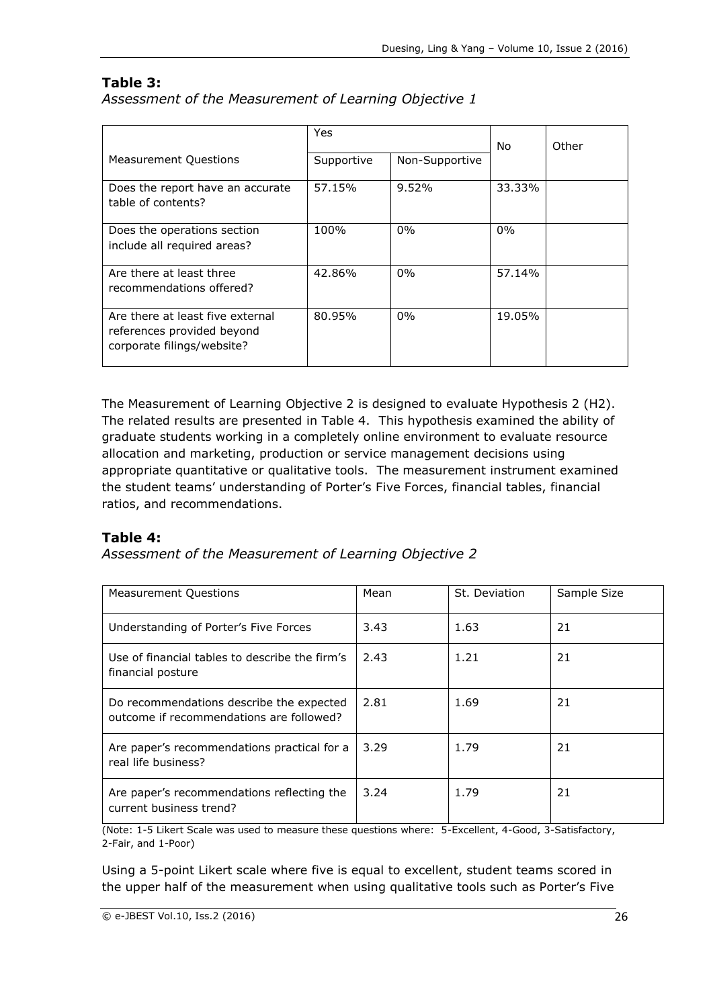#### **Table 3:**

*Assessment of the Measurement of Learning Objective 1*

|                                                                                              | <b>Yes</b> |                | No.    | Other |
|----------------------------------------------------------------------------------------------|------------|----------------|--------|-------|
| <b>Measurement Questions</b>                                                                 | Supportive | Non-Supportive |        |       |
| Does the report have an accurate<br>table of contents?                                       | 57.15%     | $9.52\%$       | 33.33% |       |
| Does the operations section<br>include all required areas?                                   | 100%       | $0\%$          | $0\%$  |       |
| Are there at least three<br>recommendations offered?                                         | 42.86%     | $0\%$          | 57.14% |       |
| Are there at least five external<br>references provided beyond<br>corporate filings/website? | 80.95%     | $0\%$          | 19.05% |       |

The Measurement of Learning Objective 2 is designed to evaluate Hypothesis 2 (H2). The related results are presented in Table 4. This hypothesis examined the ability of graduate students working in a completely online environment to evaluate resource allocation and marketing, production or service management decisions using appropriate quantitative or qualitative tools. The measurement instrument examined the student teams' understanding of Porter's Five Forces, financial tables, financial ratios, and recommendations.

### **Table 4:**

*Assessment of the Measurement of Learning Objective 2*

| <b>Measurement Questions</b>                                                         | Mean | St. Deviation | Sample Size |
|--------------------------------------------------------------------------------------|------|---------------|-------------|
| Understanding of Porter's Five Forces                                                | 3.43 | 1.63          | 21          |
| Use of financial tables to describe the firm's<br>financial posture                  | 2.43 | 1.21          | 21          |
| Do recommendations describe the expected<br>outcome if recommendations are followed? | 2.81 | 1.69          | 21          |
| Are paper's recommendations practical for a<br>real life business?                   | 3.29 | 1.79          | 21          |
| Are paper's recommendations reflecting the<br>current business trend?                | 3.24 | 1.79          | 21          |

(Note: 1-5 Likert Scale was used to measure these questions where: 5-Excellent, 4-Good, 3-Satisfactory, 2-Fair, and 1-Poor)

Using a 5-point Likert scale where five is equal to excellent, student teams scored in the upper half of the measurement when using qualitative tools such as Porter's Five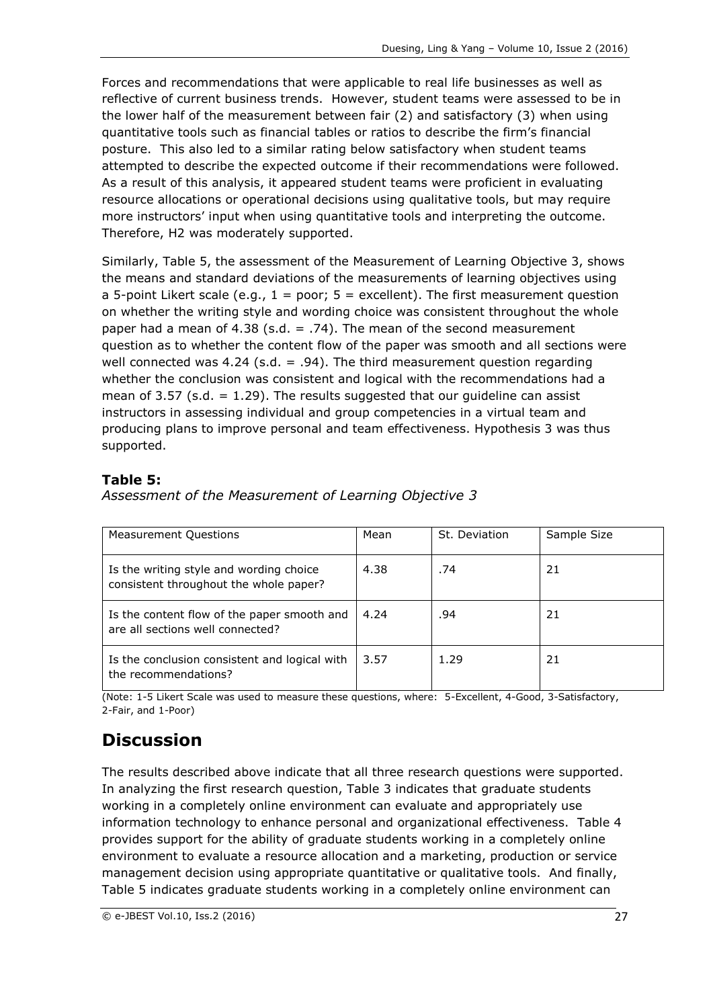Forces and recommendations that were applicable to real life businesses as well as reflective of current business trends. However, student teams were assessed to be in the lower half of the measurement between fair (2) and satisfactory (3) when using quantitative tools such as financial tables or ratios to describe the firm's financial posture. This also led to a similar rating below satisfactory when student teams attempted to describe the expected outcome if their recommendations were followed. As a result of this analysis, it appeared student teams were proficient in evaluating resource allocations or operational decisions using qualitative tools, but may require more instructors' input when using quantitative tools and interpreting the outcome. Therefore, H2 was moderately supported.

Similarly, Table 5, the assessment of the Measurement of Learning Objective 3, shows the means and standard deviations of the measurements of learning objectives using a 5-point Likert scale (e.g.,  $1 =$  poor;  $5 =$  excellent). The first measurement question on whether the writing style and wording choice was consistent throughout the whole paper had a mean of 4.38 (s.d.  $= .74$ ). The mean of the second measurement question as to whether the content flow of the paper was smooth and all sections were well connected was 4.24 (s.d. = .94). The third measurement question regarding whether the conclusion was consistent and logical with the recommendations had a mean of 3.57 (s.d.  $= 1.29$ ). The results suggested that our quideline can assist instructors in assessing individual and group competencies in a virtual team and producing plans to improve personal and team effectiveness. Hypothesis 3 was thus supported.

## **Table 5:**

*Assessment of the Measurement of Learning Objective 3*

| <b>Measurement Questions</b>                                                      | Mean | St. Deviation | Sample Size |
|-----------------------------------------------------------------------------------|------|---------------|-------------|
| Is the writing style and wording choice<br>consistent throughout the whole paper? | 4.38 | .74           | 21          |
| Is the content flow of the paper smooth and<br>are all sections well connected?   | 4.24 | .94           | 21          |
| Is the conclusion consistent and logical with<br>the recommendations?             | 3.57 | 1.29          | 21          |

(Note: 1-5 Likert Scale was used to measure these questions, where: 5-Excellent, 4-Good, 3-Satisfactory, 2-Fair, and 1-Poor)

# **Discussion**

The results described above indicate that all three research questions were supported. In analyzing the first research question, Table 3 indicates that graduate students working in a completely online environment can evaluate and appropriately use information technology to enhance personal and organizational effectiveness. Table 4 provides support for the ability of graduate students working in a completely online environment to evaluate a resource allocation and a marketing, production or service management decision using appropriate quantitative or qualitative tools. And finally, Table 5 indicates graduate students working in a completely online environment can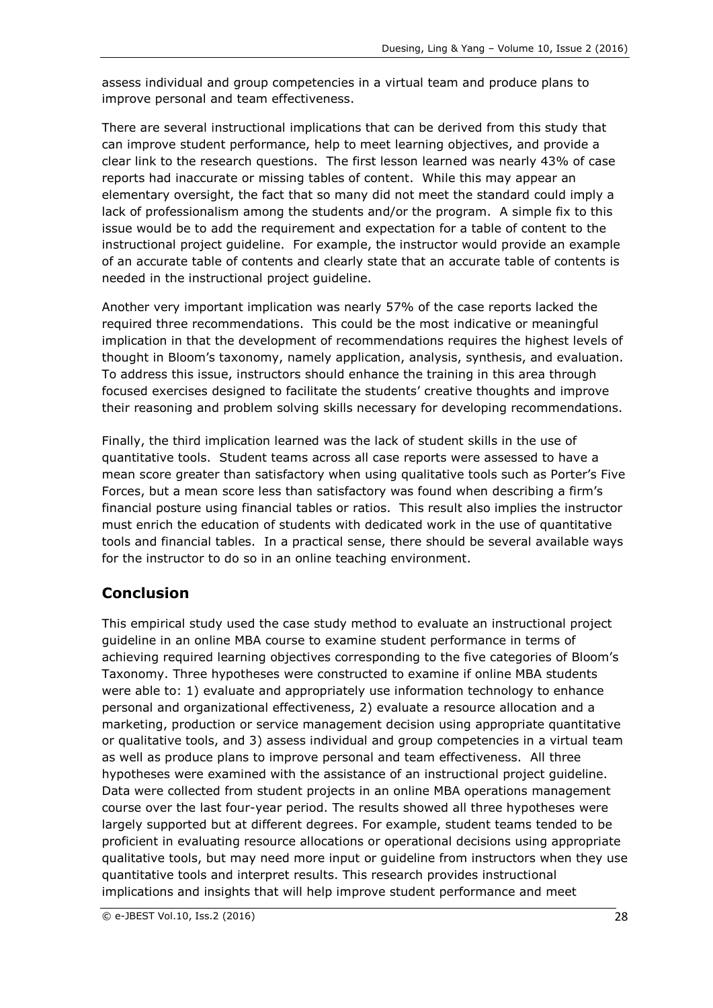assess individual and group competencies in a virtual team and produce plans to improve personal and team effectiveness.

There are several instructional implications that can be derived from this study that can improve student performance, help to meet learning objectives, and provide a clear link to the research questions. The first lesson learned was nearly 43% of case reports had inaccurate or missing tables of content. While this may appear an elementary oversight, the fact that so many did not meet the standard could imply a lack of professionalism among the students and/or the program. A simple fix to this issue would be to add the requirement and expectation for a table of content to the instructional project guideline. For example, the instructor would provide an example of an accurate table of contents and clearly state that an accurate table of contents is needed in the instructional project guideline.

Another very important implication was nearly 57% of the case reports lacked the required three recommendations. This could be the most indicative or meaningful implication in that the development of recommendations requires the highest levels of thought in Bloom's taxonomy, namely application, analysis, synthesis, and evaluation. To address this issue, instructors should enhance the training in this area through focused exercises designed to facilitate the students' creative thoughts and improve their reasoning and problem solving skills necessary for developing recommendations.

Finally, the third implication learned was the lack of student skills in the use of quantitative tools. Student teams across all case reports were assessed to have a mean score greater than satisfactory when using qualitative tools such as Porter's Five Forces, but a mean score less than satisfactory was found when describing a firm's financial posture using financial tables or ratios. This result also implies the instructor must enrich the education of students with dedicated work in the use of quantitative tools and financial tables. In a practical sense, there should be several available ways for the instructor to do so in an online teaching environment.

## **Conclusion**

This empirical study used the case study method to evaluate an instructional project guideline in an online MBA course to examine student performance in terms of achieving required learning objectives corresponding to the five categories of Bloom's Taxonomy. Three hypotheses were constructed to examine if online MBA students were able to: 1) evaluate and appropriately use information technology to enhance personal and organizational effectiveness, 2) evaluate a resource allocation and a marketing, production or service management decision using appropriate quantitative or qualitative tools, and 3) assess individual and group competencies in a virtual team as well as produce plans to improve personal and team effectiveness. All three hypotheses were examined with the assistance of an instructional project guideline. Data were collected from student projects in an online MBA operations management course over the last four-year period. The results showed all three hypotheses were largely supported but at different degrees. For example, student teams tended to be proficient in evaluating resource allocations or operational decisions using appropriate qualitative tools, but may need more input or guideline from instructors when they use quantitative tools and interpret results. This research provides instructional implications and insights that will help improve student performance and meet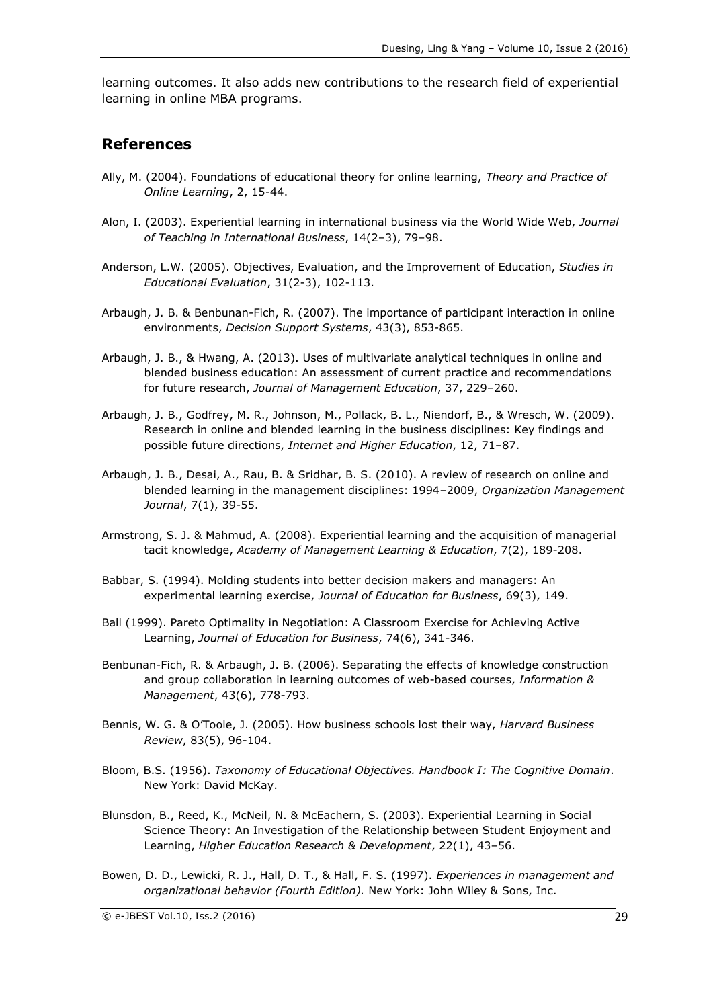learning outcomes. It also adds new contributions to the research field of experiential learning in online MBA programs.

#### **References**

- Ally, M. (2004). Foundations of educational theory for online learning, *Theory and Practice of Online Learning*, 2, 15-44.
- Alon, I. (2003). Experiential learning in international business via the World Wide Web, *Journal of Teaching in International Business*, 14(2–3), 79–98.
- Anderson, L.W. (2005). Objectives, Evaluation, and the Improvement of Education, *Studies in Educational Evaluation*, 31(2-3), 102-113.
- Arbaugh, J. B. & Benbunan-Fich, R. (2007). The importance of participant interaction in online environments, *Decision Support Systems*, 43(3), 853-865.
- Arbaugh, J. B., & Hwang, A. (2013). Uses of multivariate analytical techniques in online and blended business education: An assessment of current practice and recommendations for future research, *Journal of Management Education*, 37, 229–260.
- Arbaugh, J. B., Godfrey, M. R., Johnson, M., Pollack, B. L., Niendorf, B., & Wresch, W. (2009). Research in online and blended learning in the business disciplines: Key findings and possible future directions, *Internet and Higher Education*, 12, 71–87.
- Arbaugh, J. B., Desai, A., Rau, B. & Sridhar, B. S. (2010). A review of research on online and blended learning in the management disciplines: 1994–2009, *Organization Management Journal*, 7(1), 39-55.
- Armstrong, S. J. & Mahmud, A. (2008). Experiential learning and the acquisition of managerial tacit knowledge, *Academy of Management Learning & Education*, 7(2), 189-208.
- Babbar, S. (1994). Molding students into better decision makers and managers: An experimental learning exercise, *Journal of Education for Business*, 69(3), 149.
- Ball (1999). Pareto Optimality in Negotiation: A Classroom Exercise for Achieving Active Learning, *Journal of Education for Business*, 74(6), 341-346.
- Benbunan-Fich, R. & Arbaugh, J. B. (2006). Separating the effects of knowledge construction and group collaboration in learning outcomes of web-based courses, *Information & Management*, 43(6), 778-793.
- Bennis, W. G. & O'Toole, J. (2005). How business schools lost their way, *Harvard Business Review*, 83(5), 96-104.
- Bloom, B.S. (1956). *Taxonomy of Educational Objectives. Handbook I: The Cognitive Domain*. New York: David McKay.
- Blunsdon, B., Reed, K., McNeil, N. & McEachern, S. (2003). Experiential Learning in Social Science Theory: An Investigation of the Relationship between Student Enjoyment and Learning, *Higher Education Research & Development*, 22(1), 43–56.
- Bowen, D. D., Lewicki, R. J., Hall, D. T., & Hall, F. S. (1997). *Experiences in management and organizational behavior (Fourth Edition).* New York: John Wiley & Sons, Inc.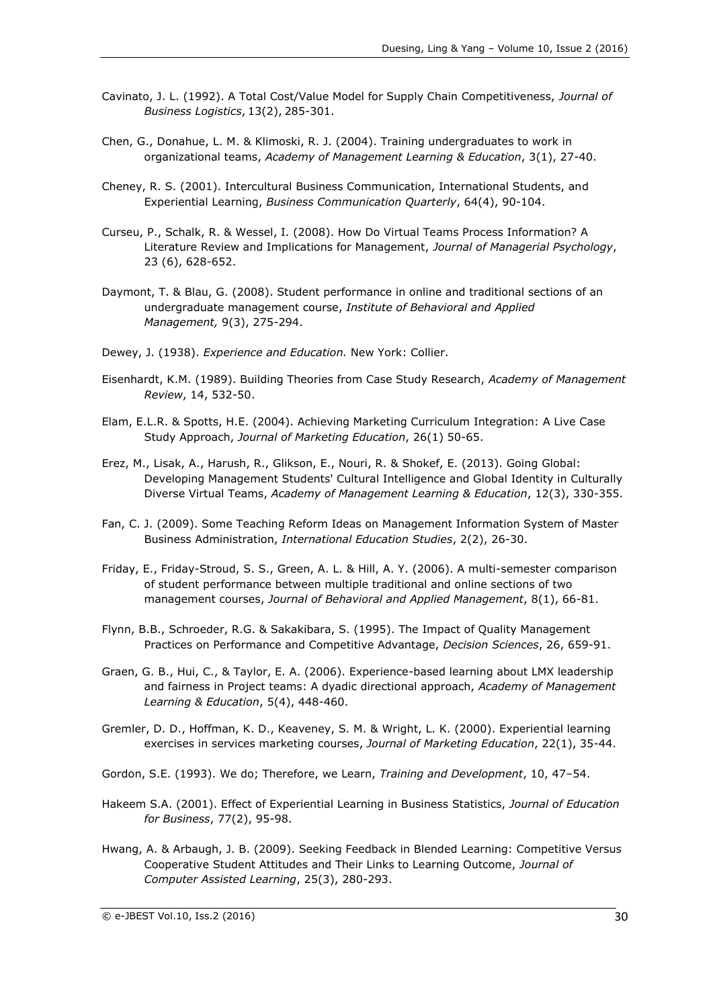- Cavinato, J. L. (1992). A Total Cost/Value Model for Supply Chain Competitiveness, *[Journal of](http://search.proquest.com/abicomplete/pubidlinkhandler/sng/pubtitle/Journal+of+Business+Logistics/$N/36584/Results/212645086/$B/1F8029D86E1B4BF2PQ/8?accountid=11078)  [Business Logistics](http://search.proquest.com/abicomplete/pubidlinkhandler/sng/pubtitle/Journal+of+Business+Logistics/$N/36584/Results/212645086/$B/1F8029D86E1B4BF2PQ/8?accountid=11078)*[,](http://search.proquest.com/abicomplete/indexingvolumeissuelinkhandler/36584/Journal+of+Business+Logistics/01992Y01Y01$231992$3b++Vol.+13+$282$29/13/2?accountid=11078) [13\(2\),](http://search.proquest.com/abicomplete/indexingvolumeissuelinkhandler/36584/Journal+of+Business+Logistics/01992Y01Y01$231992$3b++Vol.+13+$282$29/13/2?accountid=11078) [2](http://search.proquest.com/abicomplete/indexingvolumeissuelinkhandler/36584/Journal+of+Business+Logistics/01992Y01Y01$231992$3b++Vol.+13+$282$29/13/2?accountid=11078)85-301.
- Chen, G., Donahue, L. M. & Klimoski, R. J. (2004). Training undergraduates to work in organizational teams, *Academy of Management Learning & Education*, 3(1), 27-40.
- Cheney, R. S. (2001). Intercultural Business Communication, International Students, and Experiential Learning, *Business Communication Quarterly*, 64(4), 90-104.
- Curseu, P., Schalk, R. & Wessel, I. (2008). How Do Virtual Teams Process Information? A Literature Review and Implications for Management, *[Journal of Managerial Psychology](http://search.proquest.com/abicomplete/pubidlinkhandler/sng/pubtitle/Journal+of+Managerial+Psychology/$N/3488/DocView/215868553/abstract/A3E34500F1A44506PQ/19?accountid=11078)*, 23 (6), 628-652.
- Daymont, T. & Blau, G. (2008). Student performance in online and traditional sections of an undergraduate management course, *Institute of Behavioral and Applied Management,* 9(3), 275-294.
- Dewey, J. (1938). *Experience and Education.* New York: Collier.
- Eisenhardt, K.M. (1989). Building Theories from Case Study Research, *Academy of Management Review*, 14, 532-50.
- Elam, E.L.R. & Spotts, H.E. (2004). Achieving Marketing Curriculum Integration: A Live Case Study Approach, *Journal of Marketing Education*, 26(1) 50-65.
- Erez, M., Lisak, A., Harush, R., Glikson, E., Nouri, R. & Shokef, E. (2013). Going Global: Developing Management Students' Cultural Intelligence and Global Identity in Culturally Diverse Virtual Teams, *Academy of Management Learning & Education*, 12(3), 330-355.
- Fan, C. J. (2009). Some Teaching Reform Ideas on Management Information System of Master Business Administration, *International Education Studies*, 2(2), 26-30.
- Friday, E., Friday-Stroud, S. S., Green, A. L. & Hill, A. Y. (2006). A multi-semester comparison of student performance between multiple traditional and online sections of two management courses, *Journal of Behavioral and Applied Management*, 8(1), 66-81.
- Flynn, B.B., Schroeder, R.G. & Sakakibara, S. (1995). The Impact of Quality Management Practices on Performance and Competitive Advantage, *Decision Sciences*, 26, 659-91.
- Graen, G. B., Hui, C., & Taylor, E. A. (2006). Experience-based learning about LMX leadership and fairness in Project teams: A dyadic directional approach, *Academy of Management Learning & Education*, 5(4), 448-460.
- Gremler, D. D., Hoffman, K. D., Keaveney, S. M. & Wright, L. K. (2000). Experiential learning exercises in services marketing courses, *Journal of Marketing Education*, 22(1), 35-44.
- Gordon, S.E. (1993). We do; Therefore, we Learn, *Training and Development*, 10, 47–54.
- Hakeem S.A. (2001). Effect of Experiential Learning in Business Statistics, *Journal of Education for Business*, 77(2), 95-98.
- Hwang, A. & Arbaugh, J. B. (2009). Seeking Feedback in Blended Learning: Competitive Versus Cooperative Student Attitudes and Their Links to Learning Outcome, *Journal of Computer Assisted Learning*, 25(3), 280-293.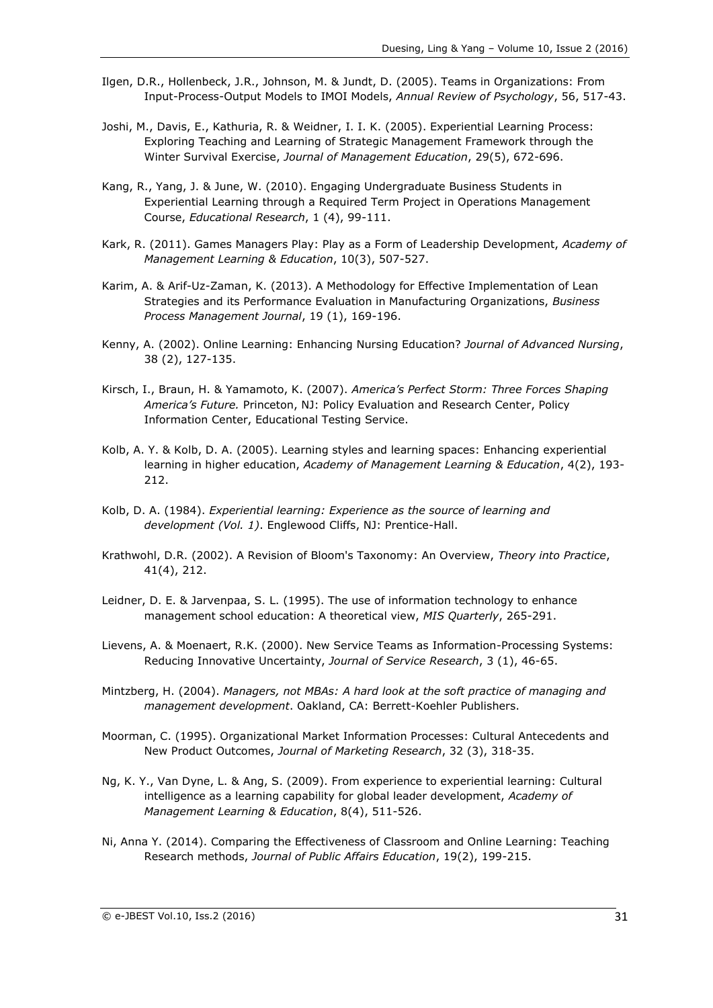- Ilgen, D.R., Hollenbeck, J.R., Johnson, M. & Jundt, D. (2005). Teams in Organizations: From Input-Process-Output Models to IMOI Models, *Annual Review of Psychology*, 56, 517-43.
- Joshi, M., Davis, E., Kathuria, R. & Weidner, I. I. K. (2005). Experiential Learning Process: Exploring Teaching and Learning of Strategic Management Framework through the Winter Survival Exercise, *Journal of Management Education*, 29(5), 672-696.
- Kang, R., Yang, J. & June, W. (2010). Engaging Undergraduate Business Students in Experiential Learning through a Required Term Project in Operations Management Course, *Educational Research*, 1 (4), 99-111.
- Kark, R. (2011). Games Managers Play: Play as a Form of Leadership Development, *Academy of Management Learning & Education*, 10(3), 507-527.
- Karim, A. & Arif-Uz-Zaman, K. (2013). A Methodology for Effective Implementation of Lean Strategies and its Performance Evaluation in Manufacturing Organizations, *Business Process Management Journal*, 19 (1), 169-196.
- Kenny, A. (2002). Online Learning: Enhancing Nursing Education? *Journal of Advanced Nursing*, 38 (2), 127-135.
- Kirsch, I., Braun, H. & Yamamoto, K. (2007). *America's Perfect Storm: Three Forces Shaping America's Future.* Princeton, NJ: Policy Evaluation and Research Center, Policy Information Center, Educational Testing Service.
- Kolb, A. Y. & Kolb, D. A. (2005). Learning styles and learning spaces: Enhancing experiential learning in higher education, *Academy of Management Learning & Education*, 4(2), 193- 212.
- Kolb, D. A. (1984). *Experiential learning: Experience as the source of learning and development (Vol. 1)*. Englewood Cliffs, NJ: Prentice-Hall.
- Krathwohl, D.R. (2002). A Revision of Bloom's Taxonomy: An Overview, *Theory into Practice*, 41(4), 212.
- Leidner, D. E. & Jarvenpaa, S. L. (1995). The use of information technology to enhance management school education: A theoretical view, *MIS Quarterly*, 265-291.
- Lievens, A. & Moenaert, R.K. (2000). New Service Teams as Information-Processing Systems: Reducing Innovative Uncertainty, *Journal of Service Research*, 3 (1), 46-65.
- Mintzberg, H. (2004). *Managers, not MBAs: A hard look at the soft practice of managing and management development*. Oakland, CA: Berrett-Koehler Publishers.
- Moorman, C. (1995). Organizational Market Information Processes: Cultural Antecedents and New Product Outcomes, *Journal of Marketing Research*, 32 (3), 318-35.
- Ng, K. Y., Van Dyne, L. & Ang, S. (2009). From experience to experiential learning: Cultural intelligence as a learning capability for global leader development, *Academy of Management Learning & Education*, 8(4), 511-526.
- Ni, Anna Y. (2014). Comparing the Effectiveness of Classroom and Online Learning: Teaching Research methods, *Journal of Public Affairs Education*, 19(2), 199-215.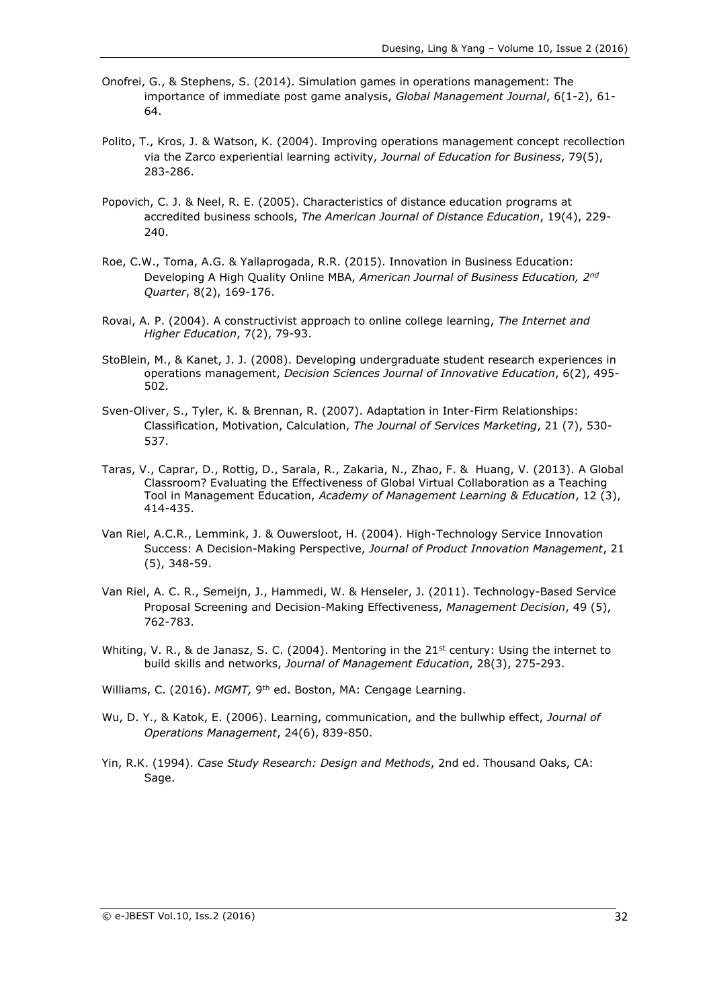- Onofrei, G., & Stephens, S. (2014). Simulation games in operations management: The importance of immediate post game analysis, *Global Management Journal*, 6(1-2), 61- 64.
- Polito, T., Kros, J. & Watson, K. (2004). Improving operations management concept recollection via the Zarco experiential learning activity, *Journal of Education for Business*, 79(5), 283-286.
- Popovich, C. J. & Neel, R. E. (2005). Characteristics of distance education programs at accredited business schools, *The American Journal of Distance Education*, 19(4), 229- 240.
- Roe, C.W., Toma, A.G. & Yallaprogada, R.R. (2015). Innovation in Business Education: Developing A High Quality Online MBA, American Journal of Business Education, 2<sup>nd</sup> *Quarter*, 8(2), 169-176.
- Rovai, A. P. (2004). A constructivist approach to online college learning, *The Internet and Higher Education*, 7(2), 79-93.
- StoBlein, M., & Kanet, J. J. (2008). Developing undergraduate student research experiences in operations management, *Decision Sciences Journal of Innovative Education*, 6(2), 495- 502.
- Sven-Oliver, S., Tyler, K. & Brennan, R. (2007). Adaptation in Inter-Firm Relationships: Classification, Motivation, Calculation, *The Journal of Services Marketing*, 21 (7), 530- 537.
- Taras, V., Caprar, D., Rottig, D., Sarala, R., Zakaria, N., Zhao, F. & Huang, V. (2013). A Global Classroom? Evaluating the Effectiveness of Global Virtual Collaboration as a Teaching Tool in Management Education, *Academy of Management Learning & Education*, 12 (3), 414-435.
- Van Riel, A.C.R., Lemmink, J. & Ouwersloot, H. (2004). High-Technology Service Innovation Success: A Decision-Making Perspective, *Journal of Product Innovation Management*, 21 (5), 348-59.
- Van Riel, A. C. R., Semeijn, J., Hammedi, W. & Henseler, J. (2011). Technology-Based Service Proposal Screening and Decision-Making Effectiveness, *Management Decision*, 49 (5), 762-783.
- Whiting, V. R., & de Janasz, S. C. (2004). Mentoring in the  $21<sup>st</sup>$  century: Using the internet to build skills and networks, *Journal of Management Education*, 28(3), 275-293.
- Williams, C. (2016). MGMT, 9<sup>th</sup> ed. Boston, MA: Cengage Learning.
- Wu, D. Y., & Katok, E. (2006). Learning, communication, and the bullwhip effect, *Journal of Operations Management*, 24(6), 839-850.
- Yin, R.K. (1994). *Case Study Research: Design and Methods*, 2nd ed. Thousand Oaks, CA: Sage.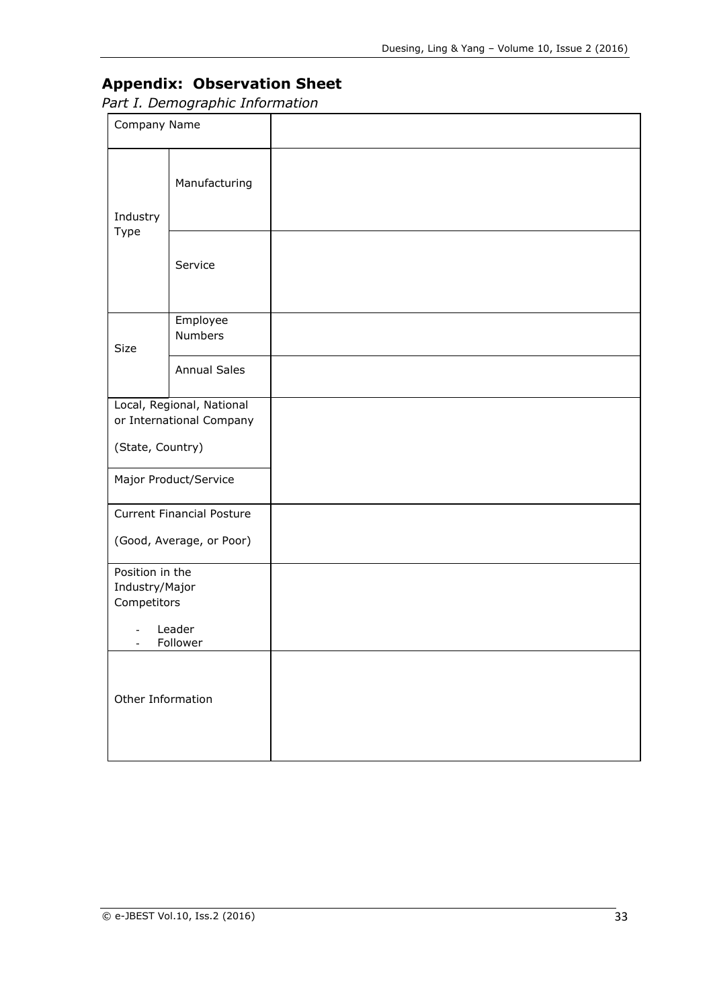## **Appendix: Observation Sheet**

*Part I. Demographic Information*

| Company Name                                     |                                                       |  |
|--------------------------------------------------|-------------------------------------------------------|--|
| Industry<br>Type                                 | Manufacturing                                         |  |
|                                                  | Service                                               |  |
| Size                                             | Employee<br>Numbers                                   |  |
|                                                  | <b>Annual Sales</b>                                   |  |
|                                                  | Local, Regional, National<br>or International Company |  |
| (State, Country)                                 |                                                       |  |
|                                                  | Major Product/Service                                 |  |
|                                                  | <b>Current Financial Posture</b>                      |  |
|                                                  | (Good, Average, or Poor)                              |  |
| Position in the<br>Industry/Major<br>Competitors |                                                       |  |
|                                                  | Leader<br>Follower                                    |  |
| Other Information                                |                                                       |  |